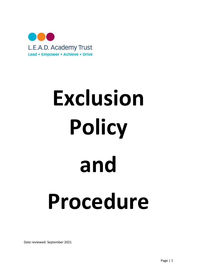

# Exclusion Policy and Procedure

Date reviewed: September 2021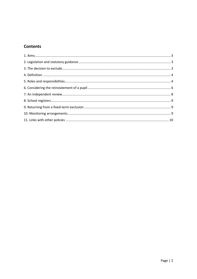# **Contents**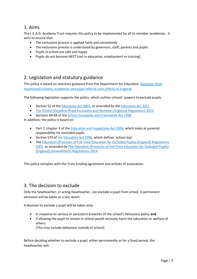## 1. Aims

The L.E.A.D. Academy Trust requires this policy to be implemented by all its member academies. It aims to ensure that:

- The exclusions process is applied fairly and consistently
- The exclusions process is understood by governors, staff, parents and pupils
- Pupils in school are safe and happy
- Pupils do not become NEET (not in education, employment or training)

## 2. Legislation and statutory guidance

This policy is based on statutory guidance from the Department for Education: Exclusion from maintained schools, academies and pupil referral units (PRUs) in England.

The following legislation supports the policy, which outline schools' powers to exclude pupils:

- Section 52 of the Education Act 2002, as amended by the Education Act 2011
- The School Discipline (Pupil Exclusions and Reviews) (England) Regulations 2012
- Sections 64-68 of the School Standards and Framework Act 1998

In addition, the policy is based on:

- Part 7, chapter 2 of the **Education and Inspections Act 2006**, which looks at parental responsibility for excluded pupils
- Section 579 of the Education Act 1996, which defines 'school day'
- The Education (Provision of Full-Time Education for Excluded Pupils) (England) Regulations 2007, as amended by The Education (Provision of Full-Time Education for Excluded Pupils) (England) (Amendment) Regulations 2014

This policy complies with the Trust funding agreement and articles of association.

## 3. The decision to exclude

Only the headteacher, or acting headteacher, can exclude a pupil from school. A permanent exclusion will be taken as a last resort.

A decision to exclude a pupil will be taken only:

- in response to serious or persistent breaches of the school's behaviour policy and
- if allowing the pupil to remain in school would seriously harm the education or welfare of others.

(This may include behaviour outside of school)

Before deciding whether to exclude a pupil, either permanently or for a fixed period, the headteacher will: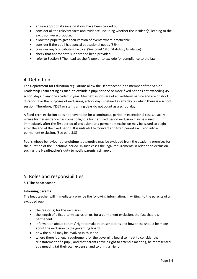- ensure appropriate investigations have been carried out
- consider all the relevant facts and evidence, including whether the incident(s) leading to the exclusion were provoked
- allow the pupil to give their version of events where practicable
- consider if the pupil has special educational needs (SEN)
- consider any 'contributing factors' (See point 18 of Statutory Guidance)
- check that appropriate support had been provided
- refer to Section 3 The head teacher's power to exclude for compliance to the law.

## 4. Definition

The Department for Education regulations allow the Headteacher (or a member of the Senior Leadership Team acting as such) to exclude a pupil for one or more fixed periods not exceeding 45 school days in any one academic year. Most exclusions are of a fixed-term nature and are of short duration. For the purposes of exclusions, school day is defined as any day on which there is a school session. Therefore, INSET or staff training days do not count as a school day.

A fixed-term exclusion does not have to be for a continuous period In exceptional cases, usually where further evidence has come to light, a further fixed period exclusion may be issued immediately after the first period of exclusion: or a permanent exclusion may be issued to begin after the end of the fixed period. It is unlawful to 'convert and fixed period exclusion into a permanent exclusion. (See para 3.3)

Pupils whose behaviour at lunchtime is disruptive may be excluded from the academy premises for the duration of the lunchtime period. In such cases the legal requirements in relation to exclusion, such as the Headteacher's duty to notify parents, still apply.

## 5. Roles and responsibilities

#### 5.1 The headteacher

#### Informing parents

The headteacher will immediately provide the following information, in writing, to the parents of an excluded pupil:

- the reason(s) for the exclusion
- the length of a fixed-term exclusion or, for a permanent exclusion, the fact that it is permanent
- information about parents' right to make representations and how these should be made about the exclusion to the governing board
- how the pupil may be involved in this; and
- where there is a legal requirement for the governing board to meet to consider the reinstatement of a pupil, and that parents have a right to attend a meeting, be represented at a meeting (at their own expense) and to bring a friend.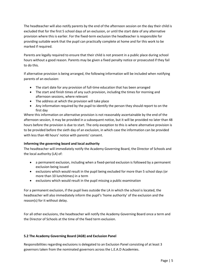The headteacher will also notify parents by the end of the afternoon session on the day their child is excluded that for the first 5 school days of an exclusion, or until the start date of any alternative provision where this is earlier. For the fixed-term exclusion the headteacher is responsible for providing suitable work that the pupil can practically complete at home and for this work to be marked if required.

Parents are legally required to ensure that their child is not present in a public place during school hours without a good reason. Parents may be given a fixed penalty notice or prosecuted if they fail to do this.

If alternative provision is being arranged, the following information will be included when notifying parents of an exclusion:

- The start date for any provision of full-time education that has been arranged
- The start and finish times of any such provision, including the times for morning and afternoon sessions, where relevant
- The address at which the provision will take place
- Any information required by the pupil to identify the person they should report to on the first day

Where this information on alternative provision is not reasonably ascertainable by the end of the afternoon session, it may be provided in a subsequent notice, but it will be provided no later than 48 hours before the provision is due to start. The only exception to this is where alternative provision is to be provided before the sixth day of an exclusion, in which case the information can be provided with less than 48 hours' notice with parents' consent.

#### Informing the governing board and local authority

The headteacher will immediately notify the Academy Governing Board, the Director of Schools and the local authority (LA) of:

- a permanent exclusion, including when a fixed-period exclusion is followed by a permanent exclusion being issued
- exclusions which would result in the pupil being excluded for more than 5 school days (or more than 10 lunchtimes) in a term
- exclusions which would result in the pupil missing a public examination

For a permanent exclusion, if the pupil lives outside the LA in which the school is located, the headteacher will also immediately inform the pupil's 'home authority' of the exclusion and the reason(s) for it without delay.

For all other exclusions, the headteacher will notify the Academy Governing Board once a term and the Director of Schools at the time of the fixed term exclusion.

#### 5.2 The Academy Governing Board (AGB) and Exclusion Panel

Responsibilities regarding exclusions is delegated to an Exclusion Panel consisting of at least 3 governors taken from the nominated governors across the L.E.A.D Academies.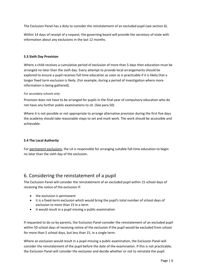The Exclusion Panel has a duty to consider the reinstatement of an excluded pupil (see section 6).

Within 14 days of receipt of a request, the governing board will provide the secretary of state with information about any exclusions in the last 12 months.

#### 5.3 Sixth Day Provision

Where a child receives a cumulative period of exclusion of more than 5 days then education must be arranged no later than the sixth day. Every attempt to provide local arrangements should be explored to ensure a pupil receives full time education as soon as is practicable if it is likely that a longer fixed term exclusion is likely. (For example, during a period of investigation where more information is being gathered).

#### For secondary schools only:

Provision does not have to be arranged for pupils in the final year of compulsory education who do not have any further public examinations to sit. (See para.50)

Where it is not possible or not appropriate to arrange alternative provision during the first five days the academy should take reasonable steps to set and mark work. The work should be accessible and achievable.

#### 5.4 The Local Authority

For permanent exclusions, the LA is responsible for arranging suitable full-time education to begin no later than the sixth day of the exclusion.

# 6. Considering the reinstatement of a pupil

The Exclusion Panel will consider the reinstatement of an excluded pupil within 15 school days of receiving the notice of the exclusion if:

- the exclusion is permanent
- it is a fixed-term exclusion which would bring the pupil's total number of school days of exclusion to more than 15 in a term
- it would result in a pupil missing a public examination

If requested to do so by parents, the Exclusion Panel consider the reinstatement of an excluded pupil within 50 school days of receiving notice of the exclusion if the pupil would be excluded from school for more than 5 school days, but less than 15, in a single term.

Where an exclusion would result in a pupil missing a public examination, the Exclusion Panel will consider the reinstatement of the pupil before the date of the examination. If this is not practicable, the Exclusion Panel will consider the exclusion and decide whether or not to reinstate the pupil.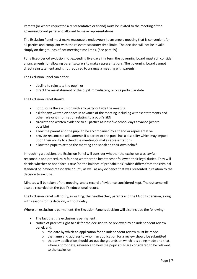Parents (or where requested a representative or friend) must be invited to the meeting of the governing board panel and allowed to make representations.

The Exclusion Panel must make reasonable endeavours to arrange a meeting that is convenient for all parties and compliant with the relevant statutory time limits. The decision will not be invalid simply on the grounds of not meeting time limits. (See para 59)

For a fixed-period exclusion not exceeding five days in a term the governing board must still consider arrangements for allowing parents/carers to make representations. The governing board cannot direct reinstatement and is not required to arrange a meeting with parents.

The Exclusion Panel can either:

- decline to reinstate the pupil, or
- direct the reinstatement of the pupil immediately, or on a particular date

The Exclusion Panel should:

- not discuss the exclusion with any party outside the meeting
- ask for any written evidence in advance of the meeting including witness statements and other relevant information relating to a pupil's SEN
- circulate the written evidence to all parties at least five school days advance (where possible)
- allow the parent and the pupil to be accompanied by a friend or representative
- provide reasonable adjustments if a parent or the pupil has a disability which may impact upon their ability to attend the meeting or make representations
- allow the pupil to attend the meeting and speak on their own behalf.

In reaching a decision, the Exclusion Panel will consider whether the exclusion was lawful, reasonable and procedurally fair and whether the headteacher followed their legal duties. They will decide whether or not a fact is true 'on the balance of probabilities', which differs from the criminal standard of 'beyond reasonable doubt', as well as any evidence that was presented in relation to the decision to exclude.

Minutes will be taken of the meeting, and a record of evidence considered kept. The outcome will also be recorded on the pupil's educational record.

The Exclusion Panel will notify, in writing, the headteacher, parents and the LA of its decision, along with reasons for its decision, without delay.

Where an exclusion is permanent, the Exclusion Panel's decision will also include the following:

- The fact that the exclusion is permanent
- Notice of parents' right to ask for the decision to be reviewed by an independent review panel, and:
	- o the date by which an application for an independent review must be made
	- $\circ$  the name and address to whom an application for a review should be submitted
	- o that any application should set out the grounds on which it is being made and that, where appropriate, reference to how the pupil's SEN are considered to be relevant to the exclusion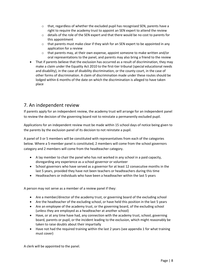- o that, regardless of whether the excluded pupil has recognised SEN, parents have a right to require the academy trust to appoint an SEN expert to attend the review
- o details of the role of the SEN expert and that there would be no cost to parents for this appointment
- $\circ$  that parents must make clear if they wish for an SEN expert to be appointed in any application for a review
- $\circ$  that parents may, at their own expense, appoint someone to make written and/or oral representations to the panel, and parents may also bring a friend to the review
- That if parents believe that the exclusion has occurred as a result of discrimination, they may make a claim under the Equality Act 2010 to the first-tier tribunal (special educational needs and disability), in the case of disability discrimination, or the county court, in the case of other forms of discrimination. A claim of discrimination made under these routes should be lodged within 6 months of the date on which the discrimination is alleged to have taken place

# 7. An independent review

If parents apply for an independent review, the academy trust will arrange for an independent panel to review the decision of the governing board not to reinstate a permanently excluded pupil.

Applications for an independent review must be made within 15 school days of notice being given to the parents by the exclusion panel of its decision to not reinstate a pupil.

A panel of 3 or 5 members will be constituted with representatives from each of the categories below. Where a 5-member panel is constituted, 2 members will come from the school governors category and 2 members will come from the headteacher category.

- A lay member to chair the panel who has not worked in any school in a paid capacity, disregarding any experience as a school governor or volunteer
- School governors who have served as a governor for at least 12 consecutive months in the last 5 years, provided they have not been teachers or headteachers during this time
- Headteachers or individuals who have been a headteacher within the last 5 years

A person may not serve as a member of a review panel if they:

- Are a member/director of the academy trust, or governing board of the excluding school
- Are the headteacher of the excluding school, or have held this position in the last 5 years
- Are an employee of the academy trust, or the governing board, of the excluding school (unless they are employed as a headteacher at another school)
- Have, or at any time have had, any connection with the academy trust, school, governing board, parents or pupil, or the incident leading to the exclusion, which might reasonably be taken to raise doubts about their impartially
- Have not had the required training within the last 2 years (see appendix 1 for what training must cover)

A clerk will be appointed to the panel.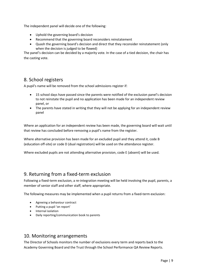The independent panel will decide one of the following:

- Uphold the governing board's decision
- Recommend that the governing board reconsiders reinstatement
- Quash the governing board's decision and direct that they reconsider reinstatement (only when the decision is judged to be flawed)

The panel's decision can be decided by a majority vote. In the case of a tied decision, the chair has the casting vote.

## 8. School registers

A pupil's name will be removed from the school admissions register if:

- 15 school days have passed since the parents were notified of the exclusion panel's decision to not reinstate the pupil and no application has been made for an independent review panel, or
- The parents have stated in writing that they will not be applying for an independent review panel

Where an application for an independent review has been made, the governing board will wait until that review has concluded before removing a pupil's name from the register.

Where alternative provision has been made for an excluded pupil and they attend it, code B (education off-site) or code D (dual registration) will be used on the attendance register.

Where excluded pupils are not attending alternative provision, code E (absent) will be used.

# 9. Returning from a fixed-term exclusion

Following a fixed-term exclusion, a re-integration meeting will be held involving the pupil, parents, a member of senior staff and other staff, where appropriate.

The following measures may be implemented when a pupil returns from a fixed-term exclusion:

- Agreeing a behaviour contract
- Putting a pupil 'on report'
- **•** Internal isolation
- Daily reporting/communication book to parents

## 10. Monitoring arrangements

The Director of Schools monitors the number of exclusions every term and reports back to the Academy Governing Board and the Trust through the School Performance QA Review Reports.